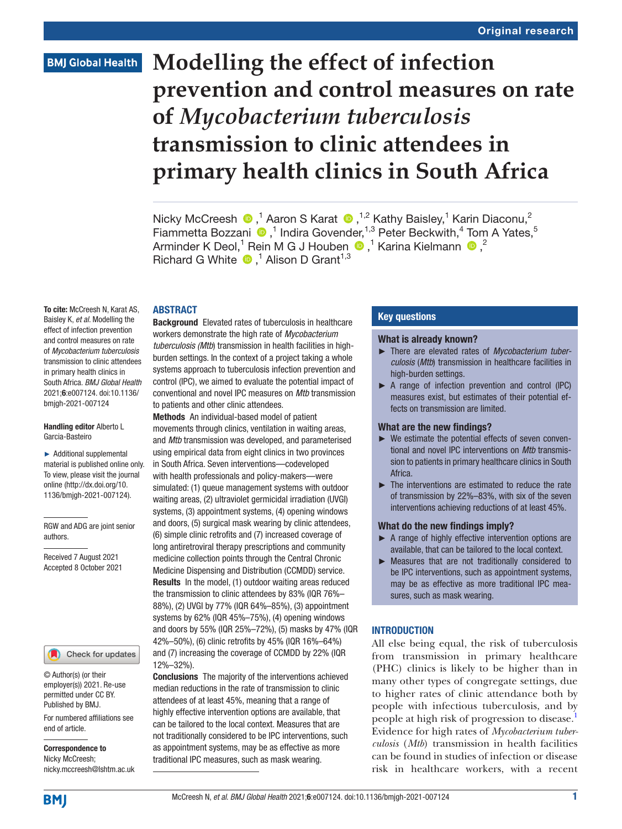# **BMJ Global Health**

# **Modelling the effect of infection prevention and control measures on rate of** *Mycobacterium tuberculosis* **transmission to clinic attendees in primary health clinics in South Africa**

NickyMcCreesh  $\bullet$ ,<sup>1</sup> Aaron S Karat  $\bullet$ ,<sup>1,2</sup> Kathy Baisley,<sup>1</sup> Karin Diaconu,<sup>2</sup> Fiammetta Bozzani <sup>®</sup>,<sup>1</sup> Indira Govender,<sup>1,3</sup> Peter Beckwith,<sup>4</sup> Tom A Yates,<sup>5</sup> ArminderK Deol,<sup>1</sup> Rein M G J Houben  $\bigcirc$ ,<sup>1</sup> Karina Kielmann  $\bigcirc$ ,<sup>2</sup> Richard G White  $\bullet$ ,<sup>1</sup> Alison D Grant<sup>1,3</sup>

#### ABSTRACT

To cite: McCreesh N, Karat AS, Baisley K, *et al*. Modelling the effect of infection prevention and control measures on rate of *Mycobacterium tuberculosis* transmission to clinic attendees in primary health clinics in South Africa. *BMJ Global Health* 2021;6:e007124. doi:10.1136/ bmjgh-2021-007124

#### Handling editor Alberto L Garcia-Basteiro

► Additional supplemental material is published online only. To view, please visit the journal online ([http://dx.doi.org/10.](http://dx.doi.org/10.1136/bmjgh-2021-007124) [1136/bmjgh-2021-007124](http://dx.doi.org/10.1136/bmjgh-2021-007124)).

RGW and ADG are joint senior authors.

Received 7 August 2021 Accepted 8 October 2021

# Check for updates

© Author(s) (or their employer(s)) 2021. Re-use permitted under CC BY. Published by BMJ.

For numbered affiliations see end of article.

Correspondence to Nicky McCreesh; nicky.mccreesh@lshtm.ac.uk Background Elevated rates of tuberculosis in healthcare workers demonstrate the high rate of *Mycobacterium tuberculosis (Mtb*) transmission in health facilities in highburden settings. In the context of a project taking a whole systems approach to tuberculosis infection prevention and control (IPC), we aimed to evaluate the potential impact of conventional and novel IPC measures on *Mtb* transmission to patients and other clinic attendees.

Methods An individual-based model of patient movements through clinics, ventilation in waiting areas, and *Mtb* transmission was developed, and parameterised using empirical data from eight clinics in two provinces in South Africa. Seven interventions—codeveloped with health professionals and policy-makers—were simulated: (1) queue management systems with outdoor waiting areas, (2) ultraviolet germicidal irradiation (UVGI) systems, (3) appointment systems, (4) opening windows and doors, (5) surgical mask wearing by clinic attendees, (6) simple clinic retrofits and (7) increased coverage of long antiretroviral therapy prescriptions and community medicine collection points through the Central Chronic Medicine Dispensing and Distribution (CCMDD) service. Results In the model, (1) outdoor waiting areas reduced the transmission to clinic attendees by 83% (IQR 76%– 88%), (2) UVGI by 77% (IQR 64%–85%), (3) appointment systems by 62% (IQR 45%–75%), (4) opening windows and doors by 55% (IQR 25%–72%), (5) masks by 47% (IQR 42%–50%), (6) clinic retrofits by 45% (IQR 16%–64%) and (7) increasing the coverage of CCMDD by 22% (IQR 12%–32%).

Conclusions The majority of the interventions achieved median reductions in the rate of transmission to clinic attendees of at least 45%, meaning that a range of highly effective intervention options are available, that can be tailored to the local context. Measures that are not traditionally considered to be IPC interventions, such as appointment systems, may be as effective as more traditional IPC measures, such as mask wearing.

# Key questions

#### What is already known?

- ► There are elevated rates of *Mycobacterium tuberculosis* (*Mtb*) transmission in healthcare facilities in high-burden settings.
- ► A range of infection prevention and control (IPC) measures exist, but estimates of their potential effects on transmission are limited.

## What are the new findings?

- ► We estimate the potential effects of seven conventional and novel IPC interventions on *Mtb* transmission to patients in primary healthcare clinics in South Africa.
- ► The interventions are estimated to reduce the rate of transmission by 22%–83%, with six of the seven interventions achieving reductions of at least 45%.

#### What do the new findings imply?

- ► A range of highly effective intervention options are available, that can be tailored to the local context.
- ► Measures that are not traditionally considered to be IPC interventions, such as appointment systems, may be as effective as more traditional IPC measures, such as mask wearing.

## **INTRODUCTION**

All else being equal, the risk of tuberculosis from transmission in primary healthcare (PHC) clinics is likely to be higher than in many other types of congregate settings, due to higher rates of clinic attendance both by people with infectious tuberculosis, and by people at high risk of progression to disease.<sup>[1](#page-7-0)</sup> Evidence for high rates of *Mycobacterium tuberculosis* (*Mtb*) transmission in health facilities can be found in studies of infection or disease risk in healthcare workers, with a recent

**BMJ**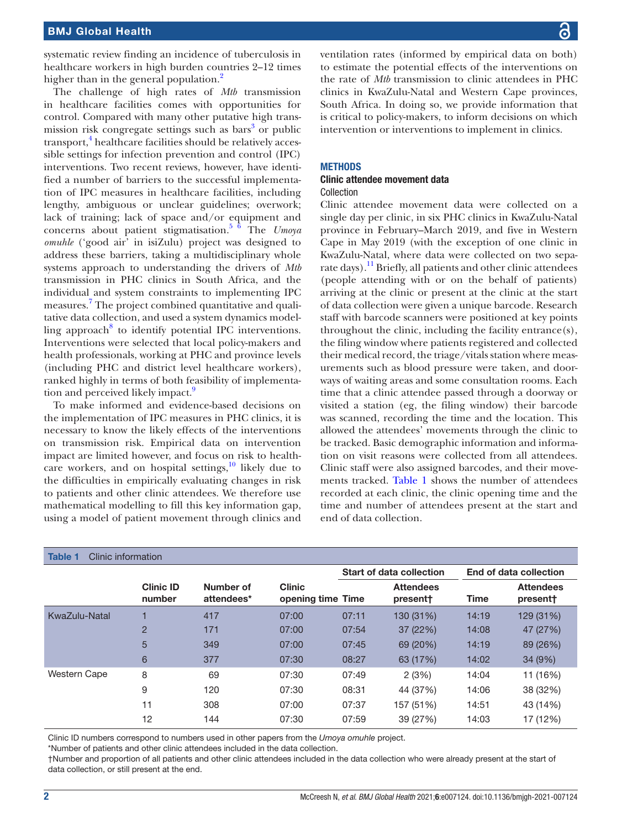systematic review finding an incidence of tuberculosis in healthcare workers in high burden countries 2–12 times higher than in the general population.<sup>[2](#page-7-1)</sup>

The challenge of high rates of *Mtb* transmission in healthcare facilities comes with opportunities for control. Compared with many other putative high trans-mission risk congregate settings such as bars<sup>[3](#page-7-2)</sup> or public transport,<sup>[4](#page-7-3)</sup> healthcare facilities should be relatively accessible settings for infection prevention and control (IPC) interventions. Two recent reviews, however, have identified a number of barriers to the successful implementation of IPC measures in healthcare facilities, including lengthy, ambiguous or unclear guidelines; overwork; lack of training; lack of space and/or equipment and concerns about patient stigmatisation.[5 6](#page-7-4) The *Umoya omuhle* ('good air' in isiZulu) project was designed to address these barriers, taking a multidisciplinary whole systems approach to understanding the drivers of *Mtb* transmission in PHC clinics in South Africa, and the individual and system constraints to implementing IPC measures.<sup>[7](#page-7-5)</sup> The project combined quantitative and qualitative data collection, and used a system dynamics modelling approach $8$  to identify potential IPC interventions. Interventions were selected that local policy-makers and health professionals, working at PHC and province levels (including PHC and district level healthcare workers), ranked highly in terms of both feasibility of implementa-tion and perceived likely impact.<sup>[9](#page-7-7)</sup>

To make informed and evidence-based decisions on the implementation of IPC measures in PHC clinics, it is necessary to know the likely effects of the interventions on transmission risk. Empirical data on intervention impact are limited however, and focus on risk to healthcare workers, and on hospital settings, $\frac{10}{10}$  likely due to the difficulties in empirically evaluating changes in risk to patients and other clinic attendees. We therefore use mathematical modelling to fill this key information gap, using a model of patient movement through clinics and

ventilation rates (informed by empirical data on both) to estimate the potential effects of the interventions on the rate of *Mtb* transmission to clinic attendees in PHC clinics in KwaZulu-Natal and Western Cape provinces, South Africa. In doing so, we provide information that is critical to policy-makers, to inform decisions on which intervention or interventions to implement in clinics.

# **METHODS**

#### Clinic attendee movement data Collection

Clinic attendee movement data were collected on a single day per clinic, in six PHC clinics in KwaZulu-Natal province in February–March 2019, and five in Western Cape in May 2019 (with the exception of one clinic in KwaZulu-Natal, where data were collected on two separate days).<sup>11</sup> Briefly, all patients and other clinic attendees (people attending with or on the behalf of patients) arriving at the clinic or present at the clinic at the start of data collection were given a unique barcode. Research staff with barcode scanners were positioned at key points throughout the clinic, including the facility entrance(s), the filing window where patients registered and collected their medical record, the triage/vitals station where measurements such as blood pressure were taken, and doorways of waiting areas and some consultation rooms. Each time that a clinic attendee passed through a doorway or visited a station (eg, the filing window) their barcode was scanned, recording the time and the location. This allowed the attendees' movements through the clinic to be tracked. Basic demographic information and information on visit reasons were collected from all attendees. Clinic staff were also assigned barcodes, and their movements tracked. [Table](#page-1-0) 1 shows the number of attendees recorded at each clinic, the clinic opening time and the time and number of attendees present at the start and end of data collection.

<span id="page-1-0"></span>

| <b>Table 1</b><br>Clinic information |                            |                         |                                    |                                 |                              |                        |                              |
|--------------------------------------|----------------------------|-------------------------|------------------------------------|---------------------------------|------------------------------|------------------------|------------------------------|
|                                      |                            |                         |                                    | <b>Start of data collection</b> |                              | End of data collection |                              |
|                                      | <b>Clinic ID</b><br>number | Number of<br>attendees* | <b>Clinic</b><br>opening time Time |                                 | <b>Attendees</b><br>present† | Time                   | <b>Attendees</b><br>present† |
| KwaZulu-Natal                        |                            | 417                     | 07:00                              | 07:11                           | 130 (31%)                    | 14:19                  | 129 (31%)                    |
|                                      | $\overline{2}$             | 171                     | 07:00                              | 07:54                           | 37 (22%)                     | 14:08                  | 47 (27%)                     |
|                                      | 5                          | 349                     | 07:00                              | 07:45                           | 69 (20%)                     | 14:19                  | 89 (26%)                     |
|                                      | 6                          | 377                     | 07:30                              | 08:27                           | 63 (17%)                     | 14:02                  | 34 (9%)                      |
| <b>Western Cape</b>                  | 8                          | 69                      | 07:30                              | 07:49                           | 2(3%)                        | 14:04                  | 11 (16%)                     |
|                                      | 9                          | 120                     | 07:30                              | 08:31                           | 44 (37%)                     | 14:06                  | 38 (32%)                     |
|                                      | 11                         | 308                     | 07:00                              | 07:37                           | 157 (51%)                    | 14:51                  | 43 (14%)                     |
|                                      | 12                         | 144                     | 07:30                              | 07:59                           | 39 (27%)                     | 14:03                  | 17 (12%)                     |

Clinic ID numbers correspond to numbers used in other papers from the *Umoya omuhle* project.

\*Number of patients and other clinic attendees included in the data collection.

†Number and proportion of all patients and other clinic attendees included in the data collection who were already present at the start of data collection, or still present at the end.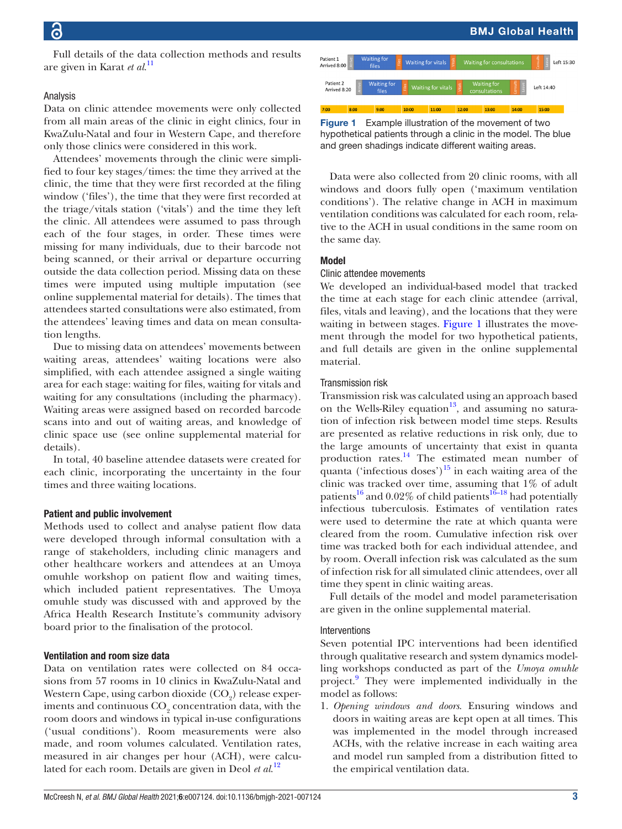Full details of the data collection methods and results are given in Karat *et al*. [11](#page-7-9)

# Analysis

Data on clinic attendee movements were only collected from all main areas of the clinic in eight clinics, four in KwaZulu-Natal and four in Western Cape, and therefore only those clinics were considered in this work.

Attendees' movements through the clinic were simplified to four key stages/times: the time they arrived at the clinic, the time that they were first recorded at the filing window ('files'), the time that they were first recorded at the triage/vitals station ('vitals') and the time they left the clinic. All attendees were assumed to pass through each of the four stages, in order. These times were missing for many individuals, due to their barcode not being scanned, or their arrival or departure occurring outside the data collection period. Missing data on these times were imputed using multiple imputation (see [online supplemental material](https://dx.doi.org/10.1136/bmjgh-2021-007124) for details). The times that attendees started consultations were also estimated, from the attendees' leaving times and data on mean consultation lengths.

Due to missing data on attendees' movements between waiting areas, attendees' waiting locations were also simplified, with each attendee assigned a single waiting area for each stage: waiting for files, waiting for vitals and waiting for any consultations (including the pharmacy). Waiting areas were assigned based on recorded barcode scans into and out of waiting areas, and knowledge of clinic space use (see [online supplemental material](https://dx.doi.org/10.1136/bmjgh-2021-007124) for details).

In total, 40 baseline attendee datasets were created for each clinic, incorporating the uncertainty in the four times and three waiting locations.

# Patient and public involvement

Methods used to collect and analyse patient flow data were developed through informal consultation with a range of stakeholders, including clinic managers and other healthcare workers and attendees at an Umoya omuhle workshop on patient flow and waiting times, which included patient representatives. The Umoya omuhle study was discussed with and approved by the Africa Health Research Institute's community advisory board prior to the finalisation of the protocol.

# Ventilation and room size data

Data on ventilation rates were collected on 84 occasions from 57 rooms in 10 clinics in KwaZulu-Natal and Western Cape, using carbon dioxide  $\left({\rm CO}_{2}\right)$  release experiments and continuous  $\mathrm{CO}_2$  concentration data, with the room doors and windows in typical in-use configurations ('usual conditions'). Room measurements were also made, and room volumes calculated. Ventilation rates, measured in air changes per hour (ACH), were calculated for each room. Details are given in Deol *et al*. [12](#page-7-10)



<span id="page-2-0"></span>Figure 1 Example illustration of the movement of two hypothetical patients through a clinic in the model. The blue and green shadings indicate different waiting areas.

Data were also collected from 20 clinic rooms, with all windows and doors fully open ('maximum ventilation conditions'). The relative change in ACH in maximum ventilation conditions was calculated for each room, relative to the ACH in usual conditions in the same room on the same day.

# Model

#### Clinic attendee movements

We developed an individual-based model that tracked the time at each stage for each clinic attendee (arrival, files, vitals and leaving), and the locations that they were waiting in between stages. [Figure](#page-2-0) 1 illustrates the movement through the model for two hypothetical patients, and full details are given in the [online supplemental](https://dx.doi.org/10.1136/bmjgh-2021-007124) [material.](https://dx.doi.org/10.1136/bmjgh-2021-007124)

## Transmission risk

Transmission risk was calculated using an approach based on the Wells-Riley equation<sup>13</sup>, and assuming no saturation of infection risk between model time steps. Results are presented as relative reductions in risk only, due to the large amounts of uncertainty that exist in quanta production rates.<sup>14</sup> The estimated mean number of quanta ('infectious doses')<sup>15</sup> in each waiting area of the clinic was tracked over time, assuming that 1% of adult patients<sup>[16](#page-7-14)</sup> and 0.02% of child patients<sup>16–18</sup> had potentially infectious tuberculosis. Estimates of ventilation rates were used to determine the rate at which quanta were cleared from the room. Cumulative infection risk over time was tracked both for each individual attendee, and by room. Overall infection risk was calculated as the sum of infection risk for all simulated clinic attendees, over all time they spent in clinic waiting areas.

Full details of the model and model parameterisation are given in the [online supplemental material.](https://dx.doi.org/10.1136/bmjgh-2021-007124)

#### Interventions

Seven potential IPC interventions had been identified through qualitative research and system dynamics modelling workshops conducted as part of the *Umoya omuhle* project.<sup>9</sup> They were implemented individually in the model as follows:

1. *Opening windows and doors*. Ensuring windows and doors in waiting areas are kept open at all times. This was implemented in the model through increased ACHs, with the relative increase in each waiting area and model run sampled from a distribution fitted to the empirical ventilation data.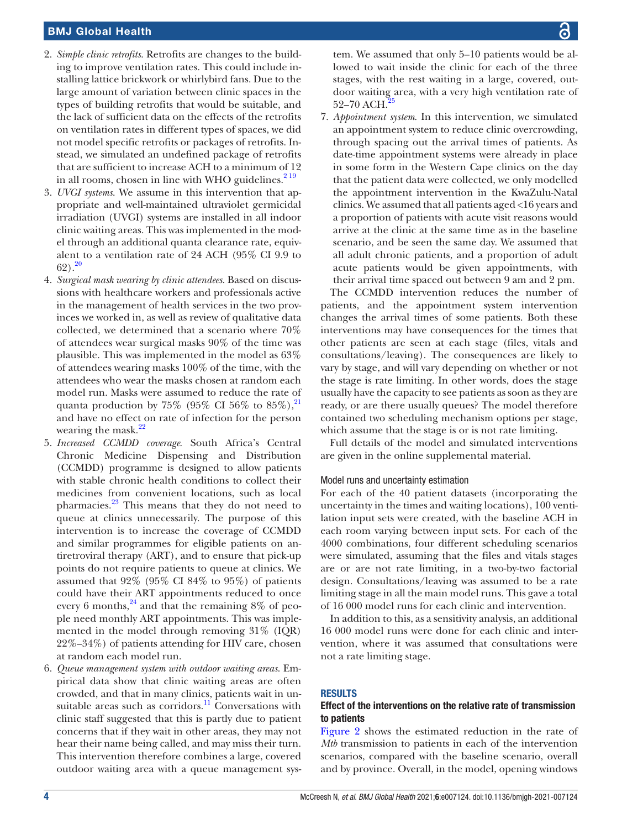- 2. *Simple clinic retrofits*. Retrofits are changes to the building to improve ventilation rates. This could include installing lattice brickwork or whirlybird fans. Due to the large amount of variation between clinic spaces in the types of building retrofits that would be suitable, and the lack of sufficient data on the effects of the retrofits on ventilation rates in different types of spaces, we did not model specific retrofits or packages of retrofits. Instead, we simulated an undefined package of retrofits that are sufficient to increase ACH to a minimum of 12 in all rooms, chosen in line with WHO guidelines. $2^{19}$
- 3. *UVGI systems*. We assume in this intervention that appropriate and well-maintained ultraviolet germicidal irradiation (UVGI) systems are installed in all indoor clinic waiting areas. This was implemented in the model through an additional quanta clearance rate, equivalent to a ventilation rate of 24 ACH (95% CI 9.9 to  $62)$ .<sup>[20](#page-7-15)</sup>
- 4. *Surgical mask wearing by clinic attendees*. Based on discussions with healthcare workers and professionals active in the management of health services in the two provinces we worked in, as well as review of qualitative data collected, we determined that a scenario where 70% of attendees wear surgical masks 90% of the time was plausible. This was implemented in the model as 63% of attendees wearing masks 100% of the time, with the attendees who wear the masks chosen at random each model run. Masks were assumed to reduce the rate of quanta production by 75% (95% CI 56% to  $85\%$ ),<sup>[21](#page-7-16)</sup> and have no effect on rate of infection for the person wearing the mask.<sup>[22](#page-7-17)</sup>
- 5. *Increased CCMDD coverage*. South Africa's Central Chronic Medicine Dispensing and Distribution (CCMDD) programme is designed to allow patients with stable chronic health conditions to collect their medicines from convenient locations, such as local pharmacies.[23](#page-7-18) This means that they do not need to queue at clinics unnecessarily. The purpose of this intervention is to increase the coverage of CCMDD and similar programmes for eligible patients on antiretroviral therapy (ART), and to ensure that pick-up points do not require patients to queue at clinics. We assumed that 92% (95% CI 84% to 95%) of patients could have their ART appointments reduced to once every 6 months,  $^{24}$  and that the remaining 8% of people need monthly ART appointments. This was implemented in the model through removing 31% (IQR) 22%–34%) of patients attending for HIV care, chosen at random each model run.
- 6. *Queue management system with outdoor waiting areas*. Empirical data show that clinic waiting areas are often crowded, and that in many clinics, patients wait in unsuitable areas such as corridors. $\frac{11}{11}$  Conversations with clinic staff suggested that this is partly due to patient concerns that if they wait in other areas, they may not hear their name being called, and may miss their turn. This intervention therefore combines a large, covered outdoor waiting area with a queue management sys-

tem. We assumed that only 5–10 patients would be allowed to wait inside the clinic for each of the three stages, with the rest waiting in a large, covered, outdoor waiting area, with a very high ventilation rate of 52–70 ACH.<sup>2</sup>

7. *Appointment system*. In this intervention, we simulated an appointment system to reduce clinic overcrowding, through spacing out the arrival times of patients. As date-time appointment systems were already in place in some form in the Western Cape clinics on the day that the patient data were collected, we only modelled the appointment intervention in the KwaZulu-Natal clinics. We assumed that all patients aged <16 years and a proportion of patients with acute visit reasons would arrive at the clinic at the same time as in the baseline scenario, and be seen the same day. We assumed that all adult chronic patients, and a proportion of adult acute patients would be given appointments, with their arrival time spaced out between 9 am and 2 pm.

The CCMDD intervention reduces the number of patients, and the appointment system intervention changes the arrival times of some patients. Both these interventions may have consequences for the times that other patients are seen at each stage (files, vitals and consultations/leaving). The consequences are likely to vary by stage, and will vary depending on whether or not the stage is rate limiting. In other words, does the stage usually have the capacity to see patients as soon as they are ready, or are there usually queues? The model therefore contained two scheduling mechanism options per stage, which assume that the stage is or is not rate limiting.

Full details of the model and simulated interventions are given in the [online supplemental material](https://dx.doi.org/10.1136/bmjgh-2021-007124).

# Model runs and uncertainty estimation

For each of the 40 patient datasets (incorporating the uncertainty in the times and waiting locations), 100 ventilation input sets were created, with the baseline ACH in each room varying between input sets. For each of the 4000 combinations, four different scheduling scenarios were simulated, assuming that the files and vitals stages are or are not rate limiting, in a two-by-two factorial design. Consultations/leaving was assumed to be a rate limiting stage in all the main model runs. This gave a total of 16 000 model runs for each clinic and intervention.

In addition to this, as a sensitivity analysis, an additional 16 000 model runs were done for each clinic and intervention, where it was assumed that consultations were not a rate limiting stage.

# RESULTS

# Effect of the interventions on the relative rate of transmission to patients

[Figure](#page-4-0) 2 shows the estimated reduction in the rate of *Mtb* transmission to patients in each of the intervention scenarios, compared with the baseline scenario, overall and by province. Overall, in the model, opening windows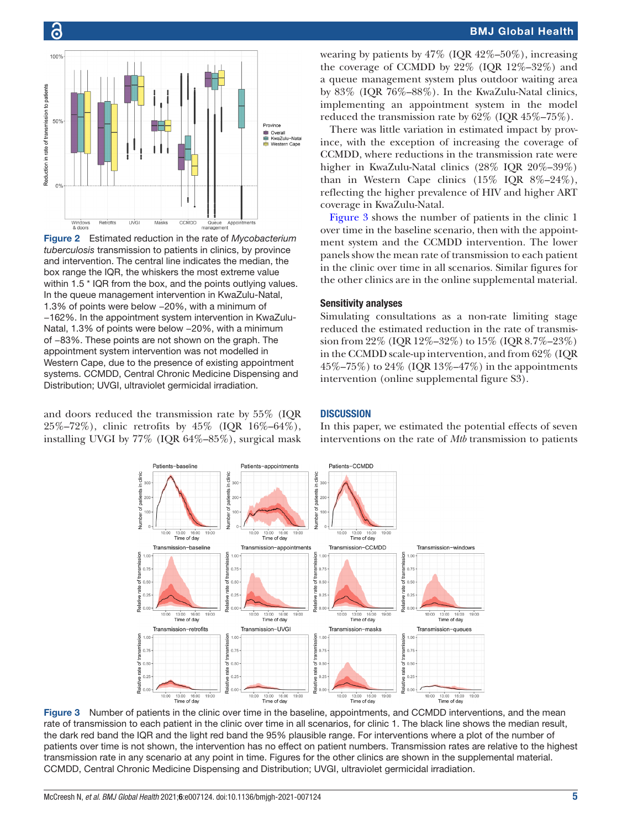

<span id="page-4-0"></span>Figure 2 Estimated reduction in the rate of *Mycobacterium tuberculosis* transmission to patients in clinics, by province and intervention. The central line indicates the median, the box range the IQR, the whiskers the most extreme value within 1.5  $*$  IQR from the box, and the points outlying values. In the queue management intervention in KwaZulu-Natal, 1.3% of points were below −20%, with a minimum of −162%. In the appointment system intervention in KwaZulu-Natal, 1.3% of points were below −20%, with a minimum of −83%. These points are not shown on the graph. The appointment system intervention was not modelled in Western Cape, due to the presence of existing appointment systems. CCMDD, Central Chronic Medicine Dispensing and Distribution; UVGI, ultraviolet germicidal irradiation.

and doors reduced the transmission rate by 55% (IQR 25%–72%), clinic retrofits by 45% (IQR 16%–64%), installing UVGI by 77% (IQR 64%–85%), surgical mask

# BMJ Global Health

wearing by patients by  $47\%$  (IOR  $42\% - 50\%$ ), increasing the coverage of CCMDD by 22% (IQR 12%–32%) and a queue management system plus outdoor waiting area by 83% (IQR 76%–88%). In the KwaZulu-Natal clinics, implementing an appointment system in the model reduced the transmission rate by 62% (IQR 45%–75%).

There was little variation in estimated impact by province, with the exception of increasing the coverage of CCMDD, where reductions in the transmission rate were higher in KwaZulu-Natal clinics (28% IQR 20%–39%) than in Western Cape clinics  $(15\%$  IQR  $8\%$ -24%), reflecting the higher prevalence of HIV and higher ART coverage in KwaZulu-Natal.

[Figure](#page-4-1) 3 shows the number of patients in the clinic 1 over time in the baseline scenario, then with the appointment system and the CCMDD intervention. The lower panels show the mean rate of transmission to each patient in the clinic over time in all scenarios. Similar figures for the other clinics are in the [online supplemental material.](https://dx.doi.org/10.1136/bmjgh-2021-007124)

# Sensitivity analyses

Simulating consultations as a non-rate limiting stage reduced the estimated reduction in the rate of transmission from 22% (IQR 12%–32%) to 15% (IQR 8.7%–23%) in the CCMDD scale-up intervention, and from 62% (IQR 45%–75%) to 24% (IOR 13%–47%) in the appointments intervention ([online supplemental figure S3\)](https://dx.doi.org/10.1136/bmjgh-2021-007124).

# **DISCUSSION**

In this paper, we estimated the potential effects of seven interventions on the rate of *Mtb* transmission to patients



<span id="page-4-1"></span>Figure 3 Number of patients in the clinic over time in the baseline, appointments, and CCMDD interventions, and the mean rate of transmission to each patient in the clinic over time in all scenarios, for clinic 1. The black line shows the median result, the dark red band the IQR and the light red band the 95% plausible range. For interventions where a plot of the number of patients over time is not shown, the intervention has no effect on patient numbers. Transmission rates are relative to the highest transmission rate in any scenario at any point in time. Figures for the other clinics are shown in the supplemental material. CCMDD, Central Chronic Medicine Dispensing and Distribution; UVGI, ultraviolet germicidal irradiation.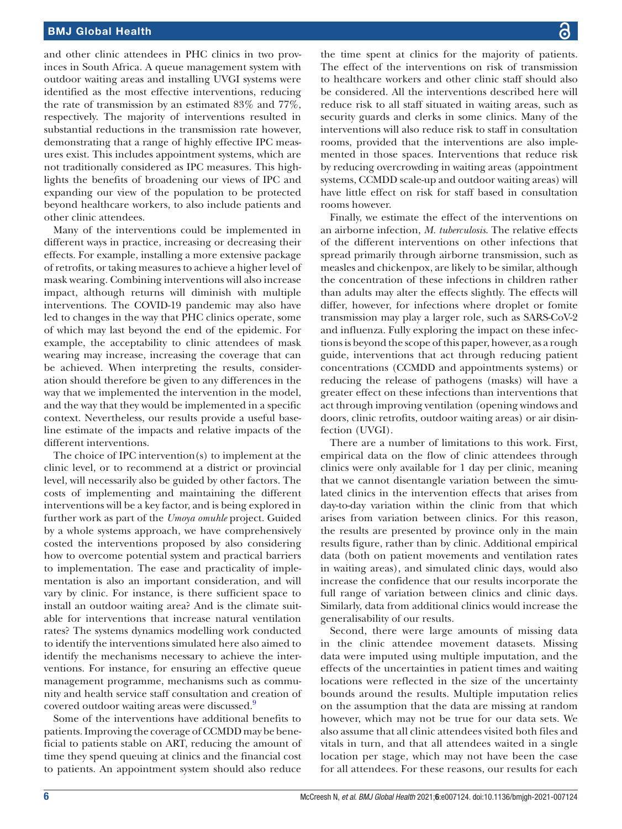and other clinic attendees in PHC clinics in two provinces in South Africa. A queue management system with outdoor waiting areas and installing UVGI systems were identified as the most effective interventions, reducing the rate of transmission by an estimated 83% and 77%, respectively. The majority of interventions resulted in substantial reductions in the transmission rate however, demonstrating that a range of highly effective IPC measures exist. This includes appointment systems, which are not traditionally considered as IPC measures. This highlights the benefits of broadening our views of IPC and expanding our view of the population to be protected beyond healthcare workers, to also include patients and other clinic attendees.

Many of the interventions could be implemented in different ways in practice, increasing or decreasing their effects. For example, installing a more extensive package of retrofits, or taking measures to achieve a higher level of mask wearing. Combining interventions will also increase impact, although returns will diminish with multiple interventions. The COVID-19 pandemic may also have led to changes in the way that PHC clinics operate, some of which may last beyond the end of the epidemic. For example, the acceptability to clinic attendees of mask wearing may increase, increasing the coverage that can be achieved. When interpreting the results, consideration should therefore be given to any differences in the way that we implemented the intervention in the model, and the way that they would be implemented in a specific context. Nevertheless, our results provide a useful baseline estimate of the impacts and relative impacts of the different interventions.

The choice of IPC intervention(s) to implement at the clinic level, or to recommend at a district or provincial level, will necessarily also be guided by other factors. The costs of implementing and maintaining the different interventions will be a key factor, and is being explored in further work as part of the *Umoya omuhle* project. Guided by a whole systems approach, we have comprehensively costed the interventions proposed by also considering how to overcome potential system and practical barriers to implementation. The ease and practicality of implementation is also an important consideration, and will vary by clinic. For instance, is there sufficient space to install an outdoor waiting area? And is the climate suitable for interventions that increase natural ventilation rates? The systems dynamics modelling work conducted to identify the interventions simulated here also aimed to identify the mechanisms necessary to achieve the interventions. For instance, for ensuring an effective queue management programme, mechanisms such as community and health service staff consultation and creation of covered outdoor waiting areas were discussed.<sup>[9](#page-7-7)</sup>

Some of the interventions have additional benefits to patients. Improving the coverage of CCMDD may be beneficial to patients stable on ART, reducing the amount of time they spend queuing at clinics and the financial cost to patients. An appointment system should also reduce

the time spent at clinics for the majority of patients. The effect of the interventions on risk of transmission to healthcare workers and other clinic staff should also be considered. All the interventions described here will reduce risk to all staff situated in waiting areas, such as security guards and clerks in some clinics. Many of the interventions will also reduce risk to staff in consultation rooms, provided that the interventions are also implemented in those spaces. Interventions that reduce risk by reducing overcrowding in waiting areas (appointment systems, CCMDD scale-up and outdoor waiting areas) will have little effect on risk for staff based in consultation rooms however.

Finally, we estimate the effect of the interventions on an airborne infection, *M. tuberculosis*. The relative effects of the different interventions on other infections that spread primarily through airborne transmission, such as measles and chickenpox, are likely to be similar, although the concentration of these infections in children rather than adults may alter the effects slightly. The effects will differ, however, for infections where droplet or fomite transmission may play a larger role, such as SARS-CoV-2 and influenza. Fully exploring the impact on these infections is beyond the scope of this paper, however, as a rough guide, interventions that act through reducing patient concentrations (CCMDD and appointments systems) or reducing the release of pathogens (masks) will have a greater effect on these infections than interventions that act through improving ventilation (opening windows and doors, clinic retrofits, outdoor waiting areas) or air disinfection (UVGI).

There are a number of limitations to this work. First, empirical data on the flow of clinic attendees through clinics were only available for 1 day per clinic, meaning that we cannot disentangle variation between the simulated clinics in the intervention effects that arises from day-to-day variation within the clinic from that which arises from variation between clinics. For this reason, the results are presented by province only in the main results figure, rather than by clinic. Additional empirical data (both on patient movements and ventilation rates in waiting areas), and simulated clinic days, would also increase the confidence that our results incorporate the full range of variation between clinics and clinic days. Similarly, data from additional clinics would increase the generalisability of our results.

Second, there were large amounts of missing data in the clinic attendee movement datasets. Missing data were imputed using multiple imputation, and the effects of the uncertainties in patient times and waiting locations were reflected in the size of the uncertainty bounds around the results. Multiple imputation relies on the assumption that the data are missing at random however, which may not be true for our data sets. We also assume that all clinic attendees visited both files and vitals in turn, and that all attendees waited in a single location per stage, which may not have been the case for all attendees. For these reasons, our results for each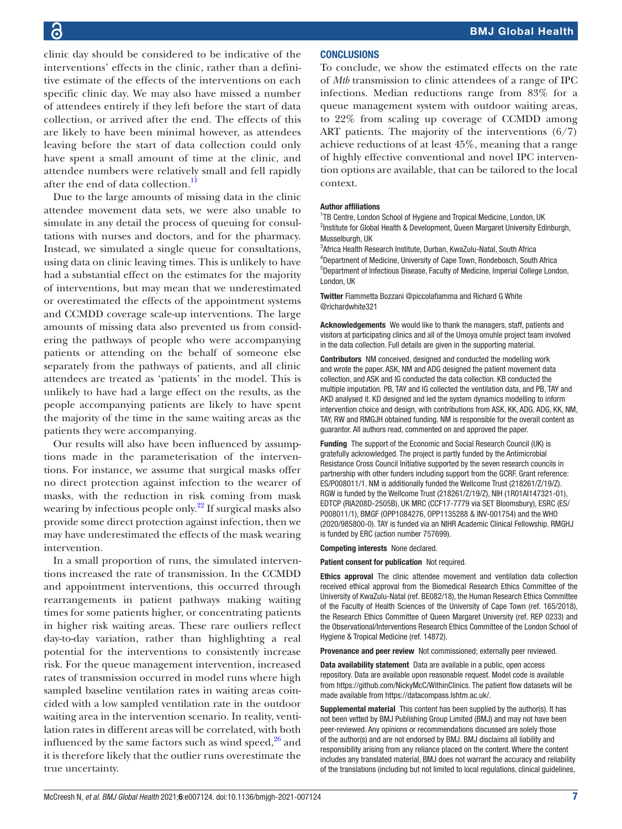clinic day should be considered to be indicative of the interventions' effects in the clinic, rather than a definitive estimate of the effects of the interventions on each specific clinic day. We may also have missed a number of attendees entirely if they left before the start of data collection, or arrived after the end. The effects of this are likely to have been minimal however, as attendees leaving before the start of data collection could only have spent a small amount of time at the clinic, and attendee numbers were relatively small and fell rapidly after the end of data collection. $^{11}$  $^{11}$  $^{11}$ 

Due to the large amounts of missing data in the clinic attendee movement data sets, we were also unable to simulate in any detail the process of queuing for consultations with nurses and doctors, and for the pharmacy. Instead, we simulated a single queue for consultations, using data on clinic leaving times. This is unlikely to have had a substantial effect on the estimates for the majority of interventions, but may mean that we underestimated or overestimated the effects of the appointment systems and CCMDD coverage scale-up interventions. The large amounts of missing data also prevented us from considering the pathways of people who were accompanying patients or attending on the behalf of someone else separately from the pathways of patients, and all clinic attendees are treated as 'patients' in the model. This is unlikely to have had a large effect on the results, as the people accompanying patients are likely to have spent the majority of the time in the same waiting areas as the patients they were accompanying.

Our results will also have been influenced by assumptions made in the parameterisation of the interventions. For instance, we assume that surgical masks offer no direct protection against infection to the wearer of masks, with the reduction in risk coming from mask wearing by infectious people only.<sup>22</sup> If surgical masks also provide some direct protection against infection, then we may have underestimated the effects of the mask wearing intervention.

In a small proportion of runs, the simulated interventions increased the rate of transmission. In the CCMDD and appointment interventions, this occurred through rearrangements in patient pathways making waiting times for some patients higher, or concentrating patients in higher risk waiting areas. These rare outliers reflect day-to-day variation, rather than highlighting a real potential for the interventions to consistently increase risk. For the queue management intervention, increased rates of transmission occurred in model runs where high sampled baseline ventilation rates in waiting areas coincided with a low sampled ventilation rate in the outdoor waiting area in the intervention scenario. In reality, ventilation rates in different areas will be correlated, with both influenced by the same factors such as wind speed, $26$  and it is therefore likely that the outlier runs overestimate the true uncertainty.

# **CONCLUSIONS**

To conclude, we show the estimated effects on the rate of *Mtb* transmission to clinic attendees of a range of IPC infections. Median reductions range from 83% for a queue management system with outdoor waiting areas, to 22% from scaling up coverage of CCMDD among ART patients. The majority of the interventions (6/7) achieve reductions of at least 45%, meaning that a range of highly effective conventional and novel IPC intervention options are available, that can be tailored to the local context.

#### Author affiliations

<sup>1</sup>TB Centre, London School of Hygiene and Tropical Medicine, London, UK <sup>2</sup>Institute for Global Health & Development, Queen Margaret University Edinburgh, Musselburgh, UK

 Africa Health Research Institute, Durban, KwaZulu-Natal, South Africa Department of Medicine, University of Cape Town, Rondebosch, South Africa Department of Infectious Disease, Faculty of Medicine, Imperial College London, London, UK

Twitter Fiammetta Bozzani [@piccolafiamma](https://twitter.com/piccolafiamma) and Richard G White [@richardwhite321](https://twitter.com/richardwhite321)

Acknowledgements We would like to thank the managers, staff, patients and visitors at participating clinics and all of the Umoya omuhle project team involved in the data collection. Full details are given in the supporting material.

Contributors NM conceived, designed and conducted the modelling work and wrote the paper. ASK, NM and ADG designed the patient movement data collection, and ASK and IG conducted the data collection. KB conducted the multiple imputation. PB, TAY and IG collected the ventilation data, and PB, TAY and AKD analysed it. KD designed and led the system dynamics modelling to inform intervention choice and design, with contributions from ASK, KK, ADG. ADG, KK, NM, TAY, RW and RMGJH obtained funding. NM is responsible for the overall content as guarantor. All authors read, commented on and approved the paper.

Funding The support of the Economic and Social Research Council (UK) is gratefully acknowledged. The project is partly funded by the Antimicrobial Resistance Cross Council Initiative supported by the seven research councils in partnership with other funders including support from the GCRF. Grant reference: ES/P008011/1. NM is additionally funded the Wellcome Trust (218261/Z/19/Z). RGW is funded by the Wellcome Trust (218261/Z/19/Z), NIH (1R01AI147321-01), EDTCP (RIA208D-2505B), UK MRC (CCF17-7779 via SET Bloomsbury), ESRC (ES/ P008011/1), BMGF (OPP1084276, OPP1135288 & INV-001754) and the WHO (2020/985800-0). TAY is funded via an NIHR Academic Clinical Fellowship. RMGHJ is funded by ERC (action number 757699).

Competing interests None declared.

Patient consent for publication Not required.

Ethics approval The clinic attendee movement and ventilation data collection received ethical approval from the Biomedical Research Ethics Committee of the University of KwaZulu-Natal (ref. BE082/18), the Human Research Ethics Committee of the Faculty of Health Sciences of the University of Cape Town (ref. 165/2018), the Research Ethics Committee of Queen Margaret University (ref. REP 0233) and the Observational/Interventions Research Ethics Committee of the London School of Hygiene & Tropical Medicine (ref. 14872).

Provenance and peer review Not commissioned; externally peer reviewed.

Data availability statement Data are available in a public, open access repository. Data are available upon reasonable request. Model code is available from [https://github.com/NickyMcC/WithinClinics.](https://github.com/NickyMcC/WithinClinics) The patient flow datasets will be made available from<https://datacompass.lshtm.ac.uk/>.

Supplemental material This content has been supplied by the author(s). It has not been vetted by BMJ Publishing Group Limited (BMJ) and may not have been peer-reviewed. Any opinions or recommendations discussed are solely those of the author(s) and are not endorsed by BMJ. BMJ disclaims all liability and responsibility arising from any reliance placed on the content. Where the content includes any translated material, BMJ does not warrant the accuracy and reliability of the translations (including but not limited to local regulations, clinical guidelines,